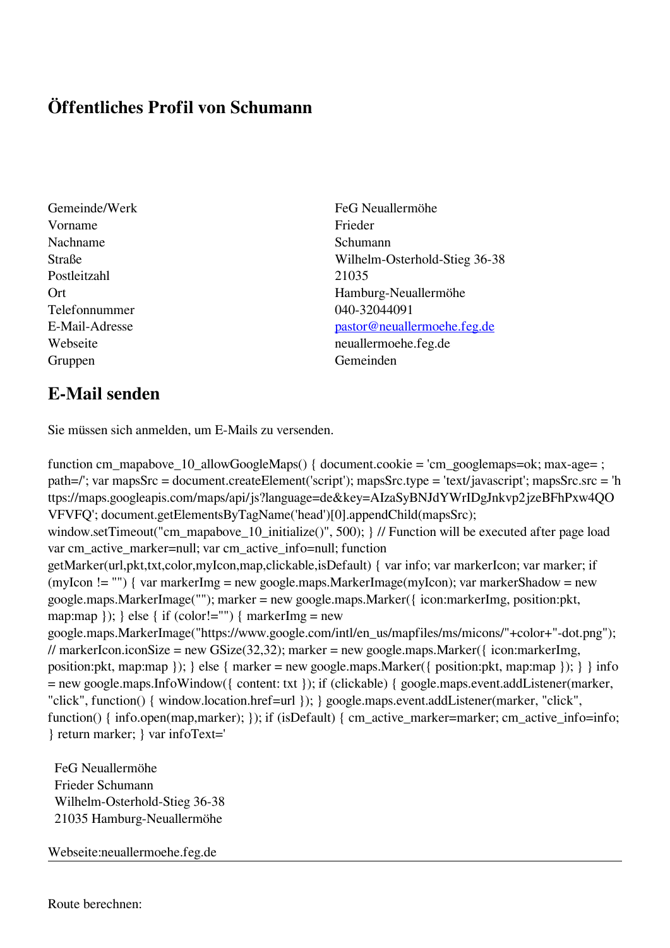## **Öffentliches Profil von Schumann**

- Vorname Frieder Nachname Schumann Postleitzahl 21035 Telefonnummer 040-32044091 Gruppen Gemeinden Gemeinden Gemeinden Gemeinden Gemeinden Gemeinden Gemeinden Gemeinden Gemeinden Gemeinden G
- Gemeinde/Werk FeG Neuallermöhe Straße Wilhelm-Osterhold-Stieg 36-38 Ort Hamburg-Neuallermöhe E-Mail-Adresse [pastor@neuallermoehe.feg.de](mailto:pastor@neuallermoehe.feg.de) Webseite neuallermoehe.feg.de

## **E-Mail senden**

Sie müssen sich anmelden, um E-Mails zu versenden.

function cm\_mapabove\_10\_allowGoogleMaps() { document.cookie = 'cm\_googlemaps=ok; max-age= ; path=/'; var mapsSrc = document.createElement('script'); mapsSrc.type = 'text/javascript'; mapsSrc.src = 'h ttps://maps.googleapis.com/maps/api/js?language=de&key=AIzaSyBNJdYWrIDgJnkvp2jzeBFhPxw4QO VFVFQ'; document.getElementsByTagName('head')[0].appendChild(mapsSrc); window.setTimeout("cm\_mapabove\_10\_initialize()", 500); } // Function will be executed after page load var cm\_active\_marker=null; var cm\_active\_info=null; function getMarker(url,pkt,txt,color,myIcon,map,clickable,isDefault) { var info; var markerIcon; var marker; if (myIcon != "") { var markerImg = new google.maps.MarkerImage(myIcon); var markerShadow = new google.maps.MarkerImage(""); marker = new google.maps.Marker({ icon:markerImg, position:pkt, map:map  $\}$ ;  $\}$  else  $\{$  if (color!="")  $\{$  markerImg = new google.maps.MarkerImage("https://www.google.com/intl/en\_us/mapfiles/ms/micons/"+color+"-dot.png"); // markerIcon.iconSize = new GSize(32,32); marker = new google.maps.Marker({ $i$ con:markerImg, position:pkt, map:map }); } else { marker = new google.maps.Marker({ position:pkt, map:map }); } } info = new google.maps.InfoWindow({ content: txt }); if (clickable) { google.maps.event.addListener(marker, "click", function() { window.location.href=url }); } google.maps.event.addListener(marker, "click", function() { info.open(map,marker); }); if (isDefault) { cm\_active\_marker=marker; cm\_active\_info=info; } return marker; } var infoText='

 FeG Neuallermöhe Frieder Schumann Wilhelm-Osterhold-Stieg 36-38 21035 Hamburg-Neuallermöhe

Webseite:neuallermoehe.feg.de